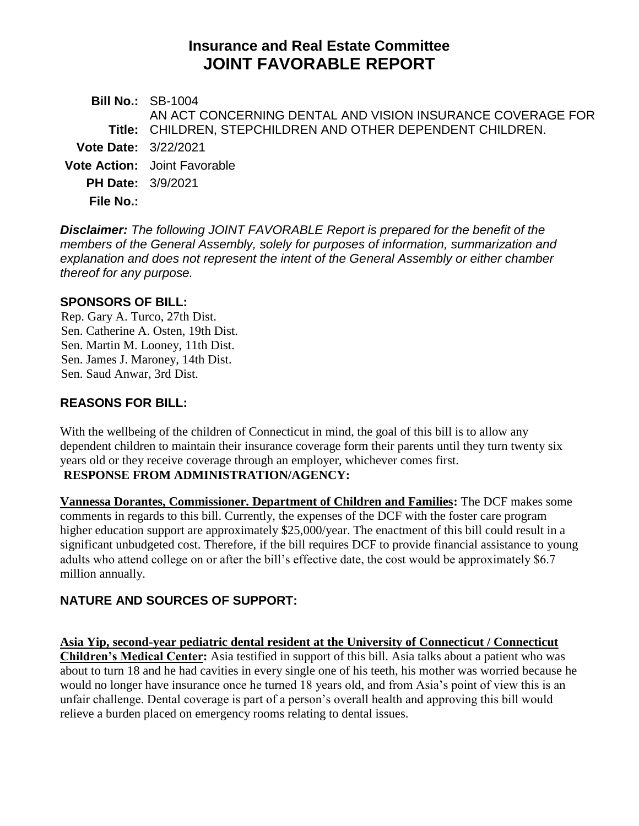# **Insurance and Real Estate Committee JOINT FAVORABLE REPORT**

**Bill No.:** SB-1004 **Title:** CHILDREN, STEPCHILDREN AND OTHER DEPENDENT CHILDREN. AN ACT CONCERNING DENTAL AND VISION INSURANCE COVERAGE FOR **Vote Date:** 3/22/2021 **Vote Action:** Joint Favorable **PH Date:** 3/9/2021 **File No.:**

*Disclaimer: The following JOINT FAVORABLE Report is prepared for the benefit of the members of the General Assembly, solely for purposes of information, summarization and explanation and does not represent the intent of the General Assembly or either chamber thereof for any purpose.*

#### **SPONSORS OF BILL:**

Rep. Gary A. Turco, 27th Dist. Sen. Catherine A. Osten, 19th Dist. Sen. Martin M. Looney, 11th Dist. Sen. James J. Maroney, 14th Dist. Sen. Saud Anwar, 3rd Dist.

### **REASONS FOR BILL:**

With the wellbeing of the children of Connecticut in mind, the goal of this bill is to allow any dependent children to maintain their insurance coverage form their parents until they turn twenty six years old or they receive coverage through an employer, whichever comes first.

#### **RESPONSE FROM ADMINISTRATION/AGENCY:**

**Vannessa Dorantes, Commissioner. Department of Children and Families:** The DCF makes some comments in regards to this bill. Currently, the expenses of the DCF with the foster care program higher education support are approximately \$25,000/year. The enactment of this bill could result in a significant unbudgeted cost. Therefore, if the bill requires DCF to provide financial assistance to young adults who attend college on or after the bill's effective date, the cost would be approximately \$6.7 million annually.

## **NATURE AND SOURCES OF SUPPORT:**

**Asia Yip, second-year pediatric dental resident at the University of Connecticut / Connecticut Children's Medical Center:** Asia testified in support of this bill. Asia talks about a patient who was about to turn 18 and he had cavities in every single one of his teeth, his mother was worried because he would no longer have insurance once he turned 18 years old, and from Asia's point of view this is an unfair challenge. Dental coverage is part of a person's overall health and approving this bill would relieve a burden placed on emergency rooms relating to dental issues.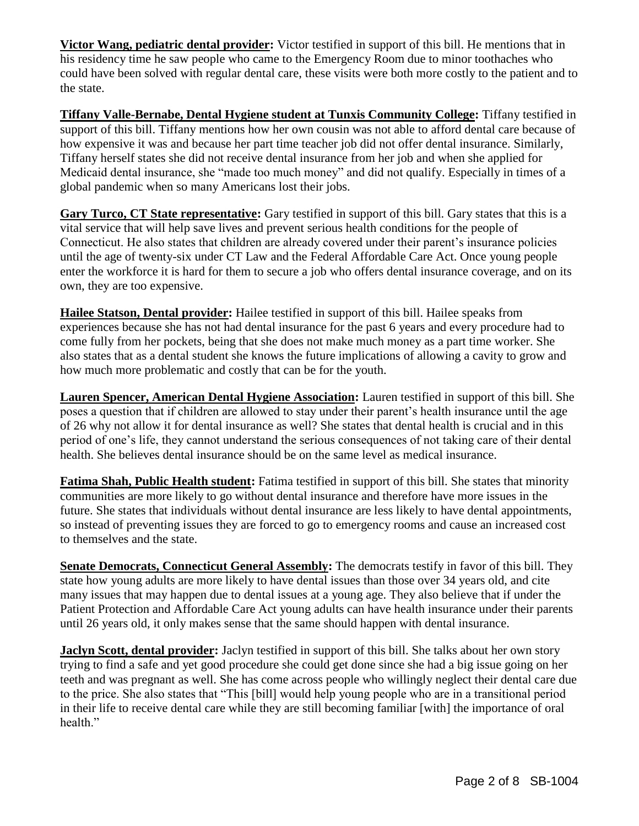**Victor Wang, pediatric dental provider:** Victor testified in support of this bill. He mentions that in his residency time he saw people who came to the Emergency Room due to minor toothaches who could have been solved with regular dental care, these visits were both more costly to the patient and to the state.

**Tiffany Valle-Bernabe, Dental Hygiene student at Tunxis Community College:** Tiffany testified in support of this bill. Tiffany mentions how her own cousin was not able to afford dental care because of how expensive it was and because her part time teacher job did not offer dental insurance. Similarly, Tiffany herself states she did not receive dental insurance from her job and when she applied for Medicaid dental insurance, she "made too much money" and did not qualify. Especially in times of a global pandemic when so many Americans lost their jobs.

**Gary Turco, CT State representative:** Gary testified in support of this bill. Gary states that this is a vital service that will help save lives and prevent serious health conditions for the people of Connecticut. He also states that children are already covered under their parent's insurance policies until the age of twenty-six under CT Law and the Federal Affordable Care Act. Once young people enter the workforce it is hard for them to secure a job who offers dental insurance coverage, and on its own, they are too expensive.

**Hailee Statson, Dental provider:** Hailee testified in support of this bill. Hailee speaks from experiences because she has not had dental insurance for the past 6 years and every procedure had to come fully from her pockets, being that she does not make much money as a part time worker. She also states that as a dental student she knows the future implications of allowing a cavity to grow and how much more problematic and costly that can be for the youth.

**Lauren Spencer, American Dental Hygiene Association:** Lauren testified in support of this bill. She poses a question that if children are allowed to stay under their parent's health insurance until the age of 26 why not allow it for dental insurance as well? She states that dental health is crucial and in this period of one's life, they cannot understand the serious consequences of not taking care of their dental health. She believes dental insurance should be on the same level as medical insurance.

**Fatima Shah, Public Health student:** Fatima testified in support of this bill. She states that minority communities are more likely to go without dental insurance and therefore have more issues in the future. She states that individuals without dental insurance are less likely to have dental appointments, so instead of preventing issues they are forced to go to emergency rooms and cause an increased cost to themselves and the state.

**Senate Democrats, Connecticut General Assembly:** The democrats testify in favor of this bill. They state how young adults are more likely to have dental issues than those over 34 years old, and cite many issues that may happen due to dental issues at a young age. They also believe that if under the Patient Protection and Affordable Care Act young adults can have health insurance under their parents until 26 years old, it only makes sense that the same should happen with dental insurance.

**Jaclyn Scott, dental provider:** Jaclyn testified in support of this bill. She talks about her own story trying to find a safe and yet good procedure she could get done since she had a big issue going on her teeth and was pregnant as well. She has come across people who willingly neglect their dental care due to the price. She also states that "This [bill] would help young people who are in a transitional period in their life to receive dental care while they are still becoming familiar [with] the importance of oral health."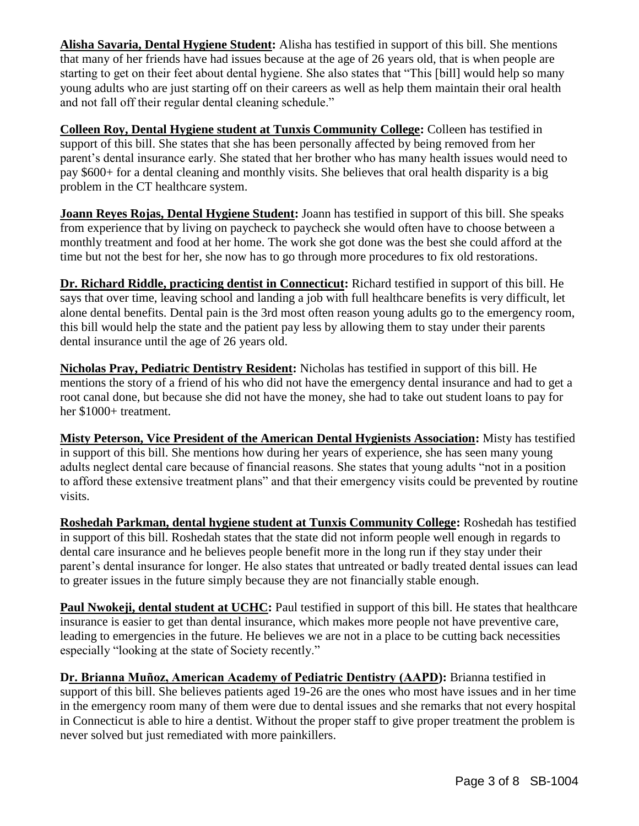**Alisha Savaria, Dental Hygiene Student:** Alisha has testified in support of this bill. She mentions that many of her friends have had issues because at the age of 26 years old, that is when people are starting to get on their feet about dental hygiene. She also states that "This [bill] would help so many young adults who are just starting off on their careers as well as help them maintain their oral health and not fall off their regular dental cleaning schedule."

**Colleen Roy, Dental Hygiene student at Tunxis Community College:** Colleen has testified in support of this bill. She states that she has been personally affected by being removed from her parent's dental insurance early. She stated that her brother who has many health issues would need to pay \$600+ for a dental cleaning and monthly visits. She believes that oral health disparity is a big problem in the CT healthcare system.

**Joann Reyes Rojas, Dental Hygiene Student:** Joann has testified in support of this bill. She speaks from experience that by living on paycheck to paycheck she would often have to choose between a monthly treatment and food at her home. The work she got done was the best she could afford at the time but not the best for her, she now has to go through more procedures to fix old restorations.

**Dr. Richard Riddle, practicing dentist in Connecticut:** Richard testified in support of this bill. He says that over time, leaving school and landing a job with full healthcare benefits is very difficult, let alone dental benefits. Dental pain is the 3rd most often reason young adults go to the emergency room, this bill would help the state and the patient pay less by allowing them to stay under their parents dental insurance until the age of 26 years old.

**Nicholas Pray, Pediatric Dentistry Resident:** Nicholas has testified in support of this bill. He mentions the story of a friend of his who did not have the emergency dental insurance and had to get a root canal done, but because she did not have the money, she had to take out student loans to pay for her \$1000+ treatment.

**Misty Peterson, Vice President of the American Dental Hygienists Association:** Misty has testified in support of this bill. She mentions how during her years of experience, she has seen many young adults neglect dental care because of financial reasons. She states that young adults "not in a position to afford these extensive treatment plans" and that their emergency visits could be prevented by routine visits.

**Roshedah Parkman, dental hygiene student at Tunxis Community College:** Roshedah has testified in support of this bill. Roshedah states that the state did not inform people well enough in regards to dental care insurance and he believes people benefit more in the long run if they stay under their parent's dental insurance for longer. He also states that untreated or badly treated dental issues can lead to greater issues in the future simply because they are not financially stable enough.

**Paul Nwokeji, dental student at UCHC:** Paul testified in support of this bill. He states that healthcare insurance is easier to get than dental insurance, which makes more people not have preventive care, leading to emergencies in the future. He believes we are not in a place to be cutting back necessities especially "looking at the state of Society recently."

**Dr. Brianna Muñoz, American Academy of Pediatric Dentistry (AAPD):** Brianna testified in support of this bill. She believes patients aged 19-26 are the ones who most have issues and in her time in the emergency room many of them were due to dental issues and she remarks that not every hospital in Connecticut is able to hire a dentist. Without the proper staff to give proper treatment the problem is never solved but just remediated with more painkillers.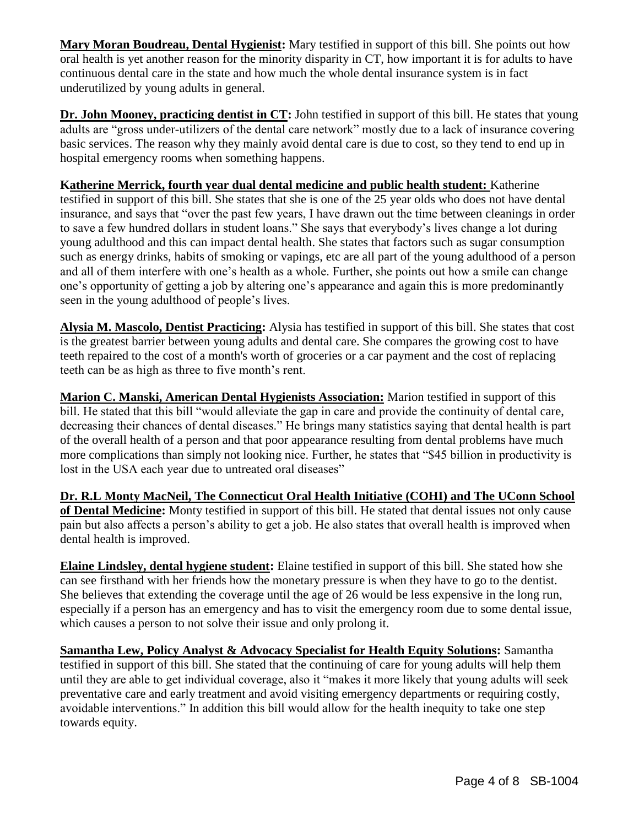**Mary Moran Boudreau, Dental Hygienist:** Mary testified in support of this bill. She points out how oral health is yet another reason for the minority disparity in CT, how important it is for adults to have continuous dental care in the state and how much the whole dental insurance system is in fact underutilized by young adults in general.

**Dr. John Mooney, practicing dentist in CT:** John testified in support of this bill. He states that young adults are "gross under-utilizers of the dental care network" mostly due to a lack of insurance covering basic services. The reason why they mainly avoid dental care is due to cost, so they tend to end up in hospital emergency rooms when something happens.

**Katherine Merrick, fourth year dual dental medicine and public health student:** Katherine testified in support of this bill. She states that she is one of the 25 year olds who does not have dental insurance, and says that "over the past few years, I have drawn out the time between cleanings in order to save a few hundred dollars in student loans." She says that everybody's lives change a lot during young adulthood and this can impact dental health. She states that factors such as sugar consumption such as energy drinks, habits of smoking or vapings, etc are all part of the young adulthood of a person and all of them interfere with one's health as a whole. Further, she points out how a smile can change one's opportunity of getting a job by altering one's appearance and again this is more predominantly seen in the young adulthood of people's lives.

**Alysia M. Mascolo, Dentist Practicing:** Alysia has testified in support of this bill. She states that cost is the greatest barrier between young adults and dental care. She compares the growing cost to have teeth repaired to the cost of a month's worth of groceries or a car payment and the cost of replacing teeth can be as high as three to five month's rent.

**Marion C. Manski, American Dental Hygienists Association:** Marion testified in support of this bill. He stated that this bill "would alleviate the gap in care and provide the continuity of dental care, decreasing their chances of dental diseases." He brings many statistics saying that dental health is part of the overall health of a person and that poor appearance resulting from dental problems have much more complications than simply not looking nice. Further, he states that "\$45 billion in productivity is lost in the USA each year due to untreated oral diseases"

**Dr. R.L Monty MacNeil, The Connecticut Oral Health Initiative (COHI) and The UConn School of Dental Medicine:** Monty testified in support of this bill. He stated that dental issues not only cause pain but also affects a person's ability to get a job. He also states that overall health is improved when dental health is improved.

**Elaine Lindsley, dental hygiene student:** Elaine testified in support of this bill. She stated how she can see firsthand with her friends how the monetary pressure is when they have to go to the dentist. She believes that extending the coverage until the age of 26 would be less expensive in the long run, especially if a person has an emergency and has to visit the emergency room due to some dental issue, which causes a person to not solve their issue and only prolong it.

**Samantha Lew, Policy Analyst & Advocacy Specialist for Health Equity Solutions:** Samantha testified in support of this bill. She stated that the continuing of care for young adults will help them until they are able to get individual coverage, also it "makes it more likely that young adults will seek preventative care and early treatment and avoid visiting emergency departments or requiring costly, avoidable interventions." In addition this bill would allow for the health inequity to take one step towards equity.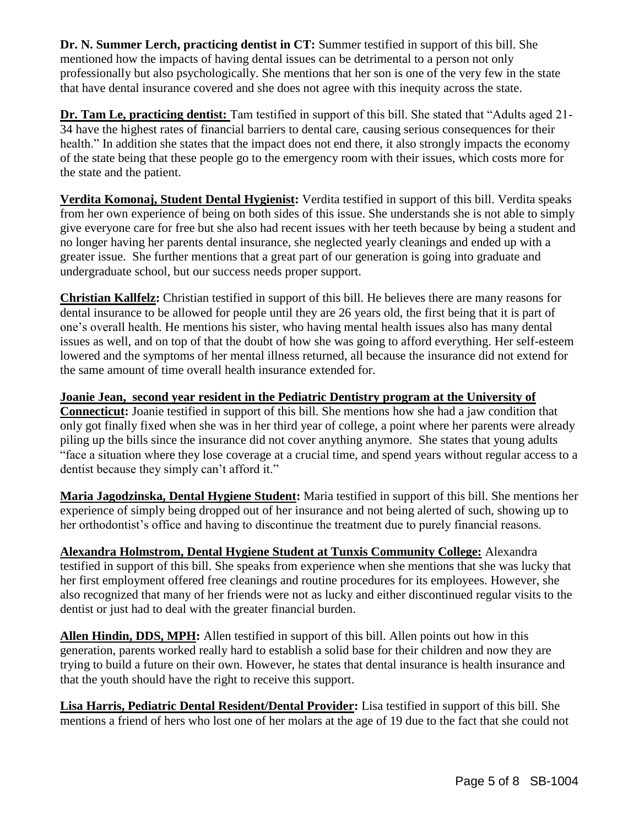**Dr. N. Summer Lerch, practicing dentist in CT:** Summer testified in support of this bill. She mentioned how the impacts of having dental issues can be detrimental to a person not only professionally but also psychologically. She mentions that her son is one of the very few in the state that have dental insurance covered and she does not agree with this inequity across the state.

**Dr. Tam Le, practicing dentist:** Tam testified in support of this bill. She stated that "Adults aged 21- 34 have the highest rates of financial barriers to dental care, causing serious consequences for their health." In addition she states that the impact does not end there, it also strongly impacts the economy of the state being that these people go to the emergency room with their issues, which costs more for the state and the patient.

**Verdita Komonaj, Student Dental Hygienist:** Verdita testified in support of this bill. Verdita speaks from her own experience of being on both sides of this issue. She understands she is not able to simply give everyone care for free but she also had recent issues with her teeth because by being a student and no longer having her parents dental insurance, she neglected yearly cleanings and ended up with a greater issue. She further mentions that a great part of our generation is going into graduate and undergraduate school, but our success needs proper support.

**Christian Kallfelz:** Christian testified in support of this bill. He believes there are many reasons for dental insurance to be allowed for people until they are 26 years old, the first being that it is part of one's overall health. He mentions his sister, who having mental health issues also has many dental issues as well, and on top of that the doubt of how she was going to afford everything. Her self-esteem lowered and the symptoms of her mental illness returned, all because the insurance did not extend for the same amount of time overall health insurance extended for.

**Joanie Jean, second year resident in the Pediatric Dentistry program at the University of Connecticut:** Joanie testified in support of this bill. She mentions how she had a jaw condition that only got finally fixed when she was in her third year of college, a point where her parents were already piling up the bills since the insurance did not cover anything anymore. She states that young adults "face a situation where they lose coverage at a crucial time, and spend years without regular access to a dentist because they simply can't afford it."

**Maria Jagodzinska, Dental Hygiene Student:** Maria testified in support of this bill. She mentions her experience of simply being dropped out of her insurance and not being alerted of such, showing up to her orthodontist's office and having to discontinue the treatment due to purely financial reasons.

**Alexandra Holmstrom, Dental Hygiene Student at Tunxis Community College:** Alexandra testified in support of this bill. She speaks from experience when she mentions that she was lucky that her first employment offered free cleanings and routine procedures for its employees. However, she also recognized that many of her friends were not as lucky and either discontinued regular visits to the dentist or just had to deal with the greater financial burden.

**Allen Hindin, DDS, MPH:** Allen testified in support of this bill. Allen points out how in this generation, parents worked really hard to establish a solid base for their children and now they are trying to build a future on their own. However, he states that dental insurance is health insurance and that the youth should have the right to receive this support.

**Lisa Harris, Pediatric Dental Resident/Dental Provider:** Lisa testified in support of this bill. She mentions a friend of hers who lost one of her molars at the age of 19 due to the fact that she could not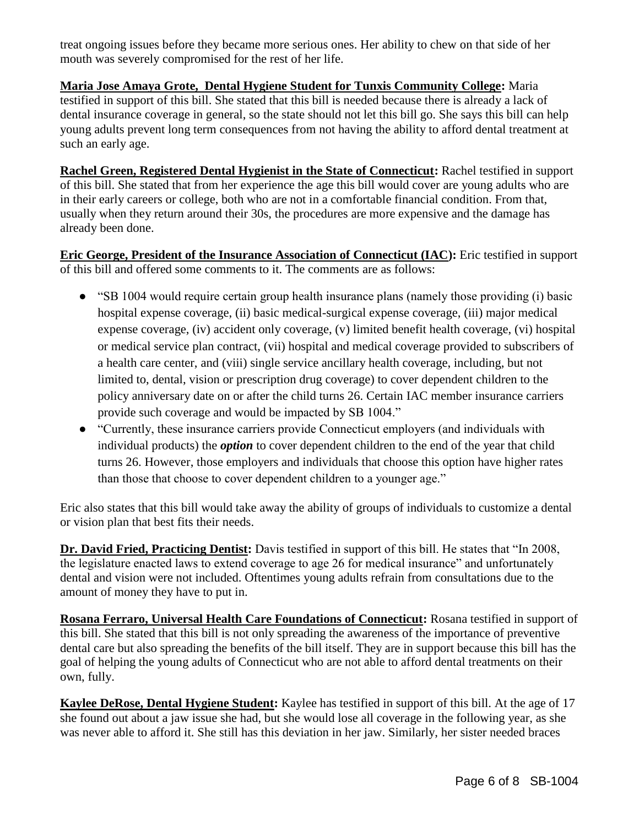treat ongoing issues before they became more serious ones. Her ability to chew on that side of her mouth was severely compromised for the rest of her life.

**Maria Jose Amaya Grote, Dental Hygiene Student for Tunxis Community College:** Maria testified in support of this bill. She stated that this bill is needed because there is already a lack of dental insurance coverage in general, so the state should not let this bill go. She says this bill can help young adults prevent long term consequences from not having the ability to afford dental treatment at such an early age.

**Rachel Green, Registered Dental Hygienist in the State of Connecticut:** Rachel testified in support of this bill. She stated that from her experience the age this bill would cover are young adults who are in their early careers or college, both who are not in a comfortable financial condition. From that, usually when they return around their 30s, the procedures are more expensive and the damage has already been done.

**Eric George, President of the Insurance Association of Connecticut (IAC):** Eric testified in support of this bill and offered some comments to it. The comments are as follows:

- "SB 1004 would require certain group health insurance plans (namely those providing (i) basic hospital expense coverage, (ii) basic medical-surgical expense coverage, (iii) major medical expense coverage, (iv) accident only coverage, (v) limited benefit health coverage, (vi) hospital or medical service plan contract, (vii) hospital and medical coverage provided to subscribers of a health care center, and (viii) single service ancillary health coverage, including, but not limited to, dental, vision or prescription drug coverage) to cover dependent children to the policy anniversary date on or after the child turns 26. Certain IAC member insurance carriers provide such coverage and would be impacted by SB 1004."
- "Currently, these insurance carriers provide Connecticut employers (and individuals with individual products) the *option* to cover dependent children to the end of the year that child turns 26. However, those employers and individuals that choose this option have higher rates than those that choose to cover dependent children to a younger age."

Eric also states that this bill would take away the ability of groups of individuals to customize a dental or vision plan that best fits their needs.

**Dr. David Fried, Practicing Dentist:** Davis testified in support of this bill. He states that "In 2008, the legislature enacted laws to extend coverage to age 26 for medical insurance" and unfortunately dental and vision were not included. Oftentimes young adults refrain from consultations due to the amount of money they have to put in.

**Rosana Ferraro, Universal Health Care Foundations of Connecticut:** Rosana testified in support of this bill. She stated that this bill is not only spreading the awareness of the importance of preventive dental care but also spreading the benefits of the bill itself. They are in support because this bill has the goal of helping the young adults of Connecticut who are not able to afford dental treatments on their own, fully.

**Kaylee DeRose, Dental Hygiene Student:** Kaylee has testified in support of this bill. At the age of 17 she found out about a jaw issue she had, but she would lose all coverage in the following year, as she was never able to afford it. She still has this deviation in her jaw. Similarly, her sister needed braces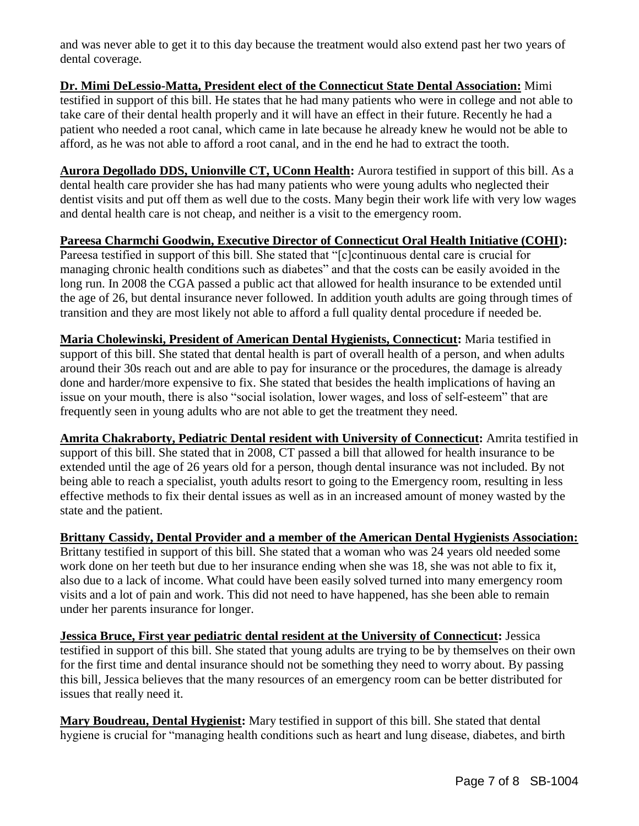and was never able to get it to this day because the treatment would also extend past her two years of dental coverage.

**Dr. Mimi DeLessio-Matta, President elect of the Connecticut State Dental Association:** Mimi testified in support of this bill. He states that he had many patients who were in college and not able to take care of their dental health properly and it will have an effect in their future. Recently he had a patient who needed a root canal, which came in late because he already knew he would not be able to afford, as he was not able to afford a root canal, and in the end he had to extract the tooth.

**Aurora Degollado DDS, Unionville CT, UConn Health:** Aurora testified in support of this bill. As a dental health care provider she has had many patients who were young adults who neglected their dentist visits and put off them as well due to the costs. Many begin their work life with very low wages and dental health care is not cheap, and neither is a visit to the emergency room.

**Pareesa Charmchi Goodwin, Executive Director of Connecticut Oral Health Initiative (COHI):**  Pareesa testified in support of this bill. She stated that "[c]continuous dental care is crucial for managing chronic health conditions such as diabetes" and that the costs can be easily avoided in the long run. In 2008 the CGA passed a public act that allowed for health insurance to be extended until the age of 26, but dental insurance never followed. In addition youth adults are going through times of transition and they are most likely not able to afford a full quality dental procedure if needed be.

**Maria Cholewinski, President of American Dental Hygienists, Connecticut:** Maria testified in support of this bill. She stated that dental health is part of overall health of a person, and when adults around their 30s reach out and are able to pay for insurance or the procedures, the damage is already done and harder/more expensive to fix. She stated that besides the health implications of having an issue on your mouth, there is also "social isolation, lower wages, and loss of self-esteem" that are frequently seen in young adults who are not able to get the treatment they need.

**Amrita Chakraborty, Pediatric Dental resident with University of Connecticut:** Amrita testified in support of this bill. She stated that in 2008, CT passed a bill that allowed for health insurance to be extended until the age of 26 years old for a person, though dental insurance was not included. By not being able to reach a specialist, youth adults resort to going to the Emergency room, resulting in less effective methods to fix their dental issues as well as in an increased amount of money wasted by the state and the patient.

**Brittany Cassidy, Dental Provider and a member of the American Dental Hygienists Association:** Brittany testified in support of this bill. She stated that a woman who was 24 years old needed some work done on her teeth but due to her insurance ending when she was 18, she was not able to fix it, also due to a lack of income. What could have been easily solved turned into many emergency room visits and a lot of pain and work. This did not need to have happened, has she been able to remain under her parents insurance for longer.

**Jessica Bruce, First year pediatric dental resident at the University of Connecticut:** Jessica testified in support of this bill. She stated that young adults are trying to be by themselves on their own for the first time and dental insurance should not be something they need to worry about. By passing this bill, Jessica believes that the many resources of an emergency room can be better distributed for issues that really need it.

**Mary Boudreau, Dental Hygienist:** Mary testified in support of this bill. She stated that dental hygiene is crucial for "managing health conditions such as heart and lung disease, diabetes, and birth